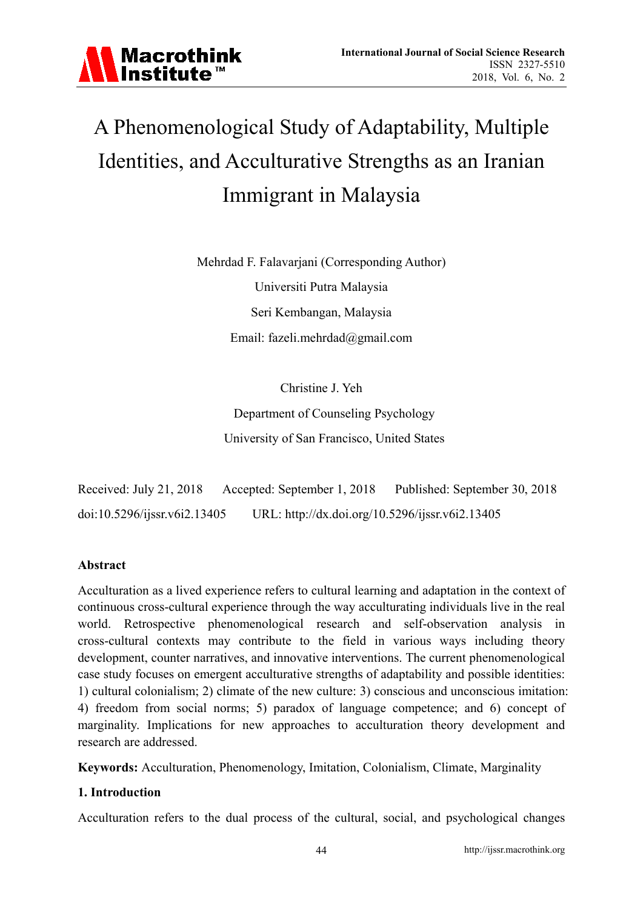

# A Phenomenological Study of Adaptability, Multiple Identities, and Acculturative Strengths as an Iranian Immigrant in Malaysia

Mehrdad F. Falavarjani (Corresponding Author) Universiti Putra Malaysia Seri Kembangan, Malaysia Email: fazeli.mehrdad@gmail.com

> Christine J. Yeh Department of Counseling Psychology University of San Francisco, United States

Received: July 21, 2018 Accepted: September 1, 2018 Published: September 30, 2018 doi:10.5296/ijssr.v6i2.13405 URL: http://dx.doi.org/10.5296/ijssr.v6i2.13405

## **Abstract**

Acculturation as a lived experience refers to cultural learning and adaptation in the context of continuous cross-cultural experience through the way acculturating individuals live in the real world. Retrospective phenomenological research and self-observation analysis in cross-cultural contexts may contribute to the field in various ways including theory development, counter narratives, and innovative interventions. The current phenomenological case study focuses on emergent acculturative strengths of adaptability and possible identities: 1) cultural colonialism; 2) climate of the new culture: 3) conscious and unconscious imitation: 4) freedom from social norms; 5) paradox of language competence; and 6) concept of marginality. Implications for new approaches to acculturation theory development and research are addressed.

**Keywords:** Acculturation, Phenomenology, Imitation, Colonialism, Climate, Marginality

## **1. Introduction**

Acculturation refers to the dual process of the cultural, social, and psychological changes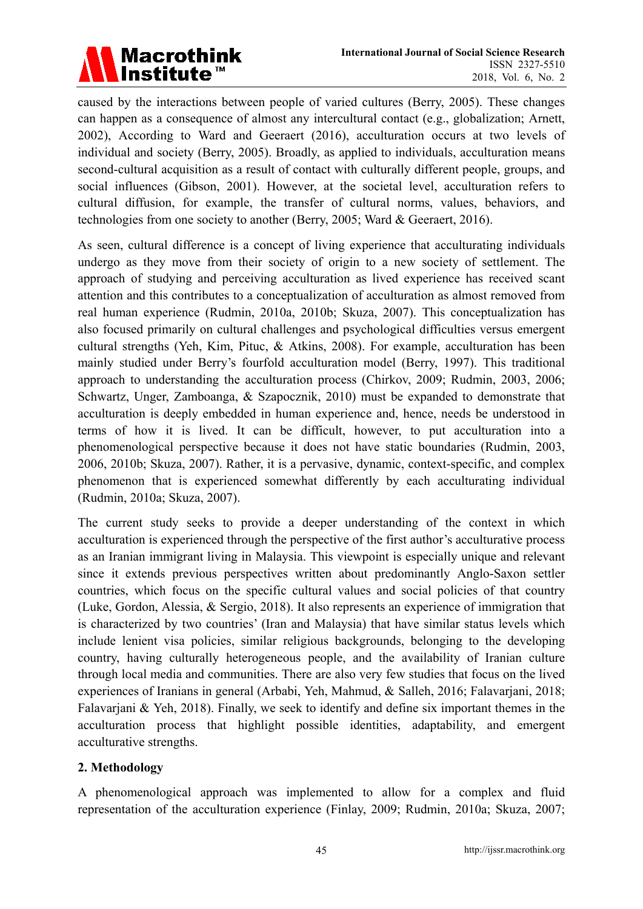

caused by the interactions between people of varied cultures (Berry, 2005). These changes can happen as a consequence of almost any intercultural contact (e.g., globalization; Arnett, 2002), According to Ward and Geeraert (2016), acculturation occurs at two levels of individual and society (Berry, 2005). Broadly, as applied to individuals, acculturation means second-cultural acquisition as a result of contact with culturally different people, groups, and social influences (Gibson, 2001). However, at the societal level, acculturation refers to cultural diffusion, for example, the transfer of cultural norms, values, behaviors, and technologies from one society to another (Berry, 2005; Ward & Geeraert, 2016).

As seen, cultural difference is a concept of living experience that acculturating individuals undergo as they move from their society of origin to a new society of settlement. The approach of studying and perceiving acculturation as lived experience has received scant attention and this contributes to a conceptualization of acculturation as almost removed from real human experience (Rudmin, 2010a, 2010b; Skuza, 2007). This conceptualization has also focused primarily on cultural challenges and psychological difficulties versus emergent cultural strengths (Yeh, Kim, Pituc, & Atkins, 2008). For example, acculturation has been mainly studied under Berry's fourfold acculturation model (Berry, 1997). This traditional approach to understanding the acculturation process (Chirkov, 2009; Rudmin, 2003, 2006; Schwartz, Unger, Zamboanga, & Szapocznik, 2010) must be expanded to demonstrate that acculturation is deeply embedded in human experience and, hence, needs be understood in terms of how it is lived. It can be difficult, however, to put acculturation into a phenomenological perspective because it does not have static boundaries (Rudmin, 2003, 2006, 2010b; Skuza, 2007). Rather, it is a pervasive, dynamic, context-specific, and complex phenomenon that is experienced somewhat differently by each acculturating individual (Rudmin, 2010a; Skuza, 2007).

The current study seeks to provide a deeper understanding of the context in which acculturation is experienced through the perspective of the first author's acculturative process as an Iranian immigrant living in Malaysia. This viewpoint is especially unique and relevant since it extends previous perspectives written about predominantly Anglo-Saxon settler countries, which focus on the specific cultural values and social policies of that country (Luke, Gordon, Alessia, & Sergio, 2018). It also represents an experience of immigration that is characterized by two countries' (Iran and Malaysia) that have similar status levels which include lenient visa policies, similar religious backgrounds, belonging to the developing country, having culturally heterogeneous people, and the availability of Iranian culture through local media and communities. There are also very few studies that focus on the lived experiences of Iranians in general (Arbabi, Yeh, Mahmud, & Salleh, 2016; Falavarjani, 2018; Falavarjani & Yeh, 2018). Finally, we seek to identify and define six important themes in the acculturation process that highlight possible identities, adaptability, and emergent acculturative strengths.

## **2. Methodology**

A phenomenological approach was implemented to allow for a complex and fluid representation of the acculturation experience (Finlay, 2009; Rudmin, 2010a; Skuza, 2007;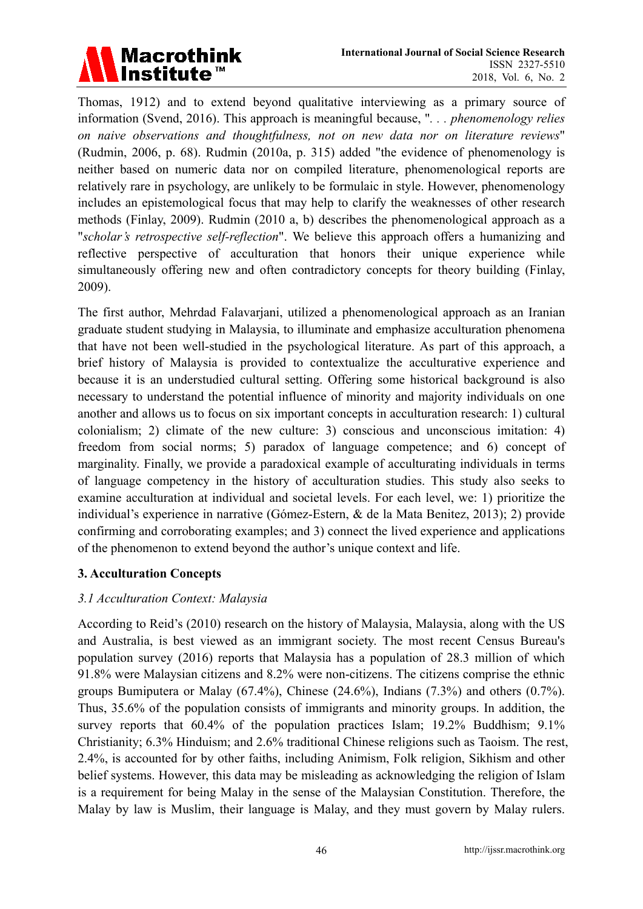

Thomas, 1912) and to extend beyond qualitative interviewing as a primary source of information (Svend, 2016). This approach is meaningful because, "*. . . phenomenology relies on naive observations and thoughtfulness, not on new data nor on literature reviews*" (Rudmin, 2006, p. 68). Rudmin (2010a, p. 315) added "the evidence of phenomenology is neither based on numeric data nor on compiled literature, phenomenological reports are relatively rare in psychology, are unlikely to be formulaic in style. However, phenomenology includes an epistemological focus that may help to clarify the weaknesses of other research methods (Finlay, 2009). Rudmin (2010 a, b) describes the phenomenological approach as a "*scholar's retrospective self-reflection*". We believe this approach offers a humanizing and reflective perspective of acculturation that honors their unique experience while simultaneously offering new and often contradictory concepts for theory building (Finlay, 2009).

The first author, Mehrdad Falavarjani, utilized a phenomenological approach as an Iranian graduate student studying in Malaysia, to illuminate and emphasize acculturation phenomena that have not been well-studied in the psychological literature. As part of this approach, a brief history of Malaysia is provided to contextualize the acculturative experience and because it is an understudied cultural setting. Offering some historical background is also necessary to understand the potential influence of minority and majority individuals on one another and allows us to focus on six important concepts in acculturation research: 1) cultural colonialism; 2) climate of the new culture: 3) conscious and unconscious imitation: 4) freedom from social norms; 5) paradox of language competence; and 6) concept of marginality. Finally, we provide a paradoxical example of acculturating individuals in terms of language competency in the history of acculturation studies. This study also seeks to examine acculturation at individual and societal levels. For each level, we: 1) prioritize the individual's experience in narrative (Gómez-Estern, & de la Mata Benitez, 2013); 2) provide confirming and corroborating examples; and 3) connect the lived experience and applications of the phenomenon to extend beyond the author's unique context and life.

## **3. Acculturation Concepts**

#### *3.1 Acculturation Context: Malaysia*

According to Reid's (2010) research on the history of Malaysia, Malaysia, along with the US and Australia, is best viewed as an immigrant society. The most recent Census Bureau's population survey (2016) reports that Malaysia has a population of 28.3 million of which 91.8% were Malaysian citizens and 8.2% were non-citizens. The citizens comprise the ethnic groups Bumiputera or Malay (67.4%), Chinese (24.6%), Indians (7.3%) and others (0.7%). Thus, 35.6% of the population consists of immigrants and minority groups. In addition, the survey reports that 60.4% of the population practices Islam; 19.2% Buddhism; 9.1% Christianity; 6.3% Hinduism; and 2.6% traditional Chinese religions such as Taoism. The rest, 2.4%, is accounted for by other faiths, including Animism, Folk religion, Sikhism and other belief systems. However, this data may be misleading as acknowledging the religion of Islam is a requirement for being Malay in the sense of the Malaysian Constitution. Therefore, the Malay by law is Muslim, their language is Malay, and they must govern by Malay rulers.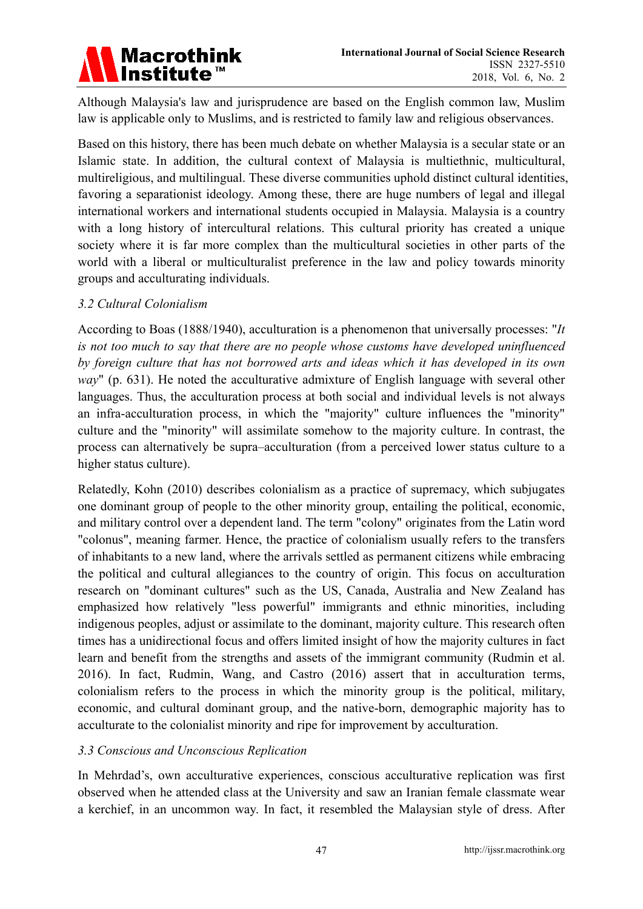

Although Malaysia's law and jurisprudence are based on the English common law, Muslim law is applicable only to Muslims, and is restricted to family law and religious observances.

Based on this history, there has been much debate on whether Malaysia is a secular state or an Islamic state. In addition, the cultural context of Malaysia is multiethnic, multicultural, multireligious, and multilingual. These diverse communities uphold distinct cultural identities, favoring a separationist ideology. Among these, there are huge numbers of legal and illegal international workers and international students occupied in Malaysia. Malaysia is a country with a long history of intercultural relations. This cultural priority has created a unique society where it is far more complex than the multicultural societies in other parts of the world with a liberal or multiculturalist preference in the law and policy towards minority groups and acculturating individuals.

#### *3.2 Cultural Colonialism*

According to Boas (1888/1940), acculturation is a phenomenon that universally processes: "*It is not too much to say that there are no people whose customs have developed uninfluenced by foreign culture that has not borrowed arts and ideas which it has developed in its own way*" (p. 631). He noted the acculturative admixture of English language with several other languages. Thus, the acculturation process at both social and individual levels is not always an infra-acculturation process, in which the "majority" culture influences the "minority" culture and the "minority" will assimilate somehow to the majority culture. In contrast, the process can alternatively be supra–acculturation (from a perceived lower status culture to a higher status culture).

Relatedly, Kohn (2010) describes colonialism as a practice of supremacy, which subjugates one dominant group of people to the other minority group, entailing the political, economic, and military control over a dependent land. The term "colony" originates from the Latin word "colonus", meaning farmer. Hence, the practice of colonialism usually refers to the transfers of inhabitants to a new land, where the arrivals settled as permanent citizens while embracing the political and cultural allegiances to the country of origin. This focus on acculturation research on "dominant cultures" such as the US, Canada, Australia and New Zealand has emphasized how relatively "less powerful" immigrants and ethnic minorities, including indigenous peoples, adjust or assimilate to the dominant, majority culture. This research often times has a unidirectional focus and offers limited insight of how the majority cultures in fact learn and benefit from the strengths and assets of the immigrant community (Rudmin et al. 2016). In fact, Rudmin, Wang, and Castro (2016) assert that in acculturation terms, colonialism refers to the process in which the minority group is the political, military, economic, and cultural dominant group, and the native-born, demographic majority has to acculturate to the colonialist minority and ripe for improvement by acculturation.

#### *3.3 Conscious and Unconscious Replication*

In Mehrdad's, own acculturative experiences, conscious acculturative replication was first observed when he attended class at the University and saw an Iranian female classmate wear a kerchief, in an uncommon way. In fact, it resembled the Malaysian style of dress. After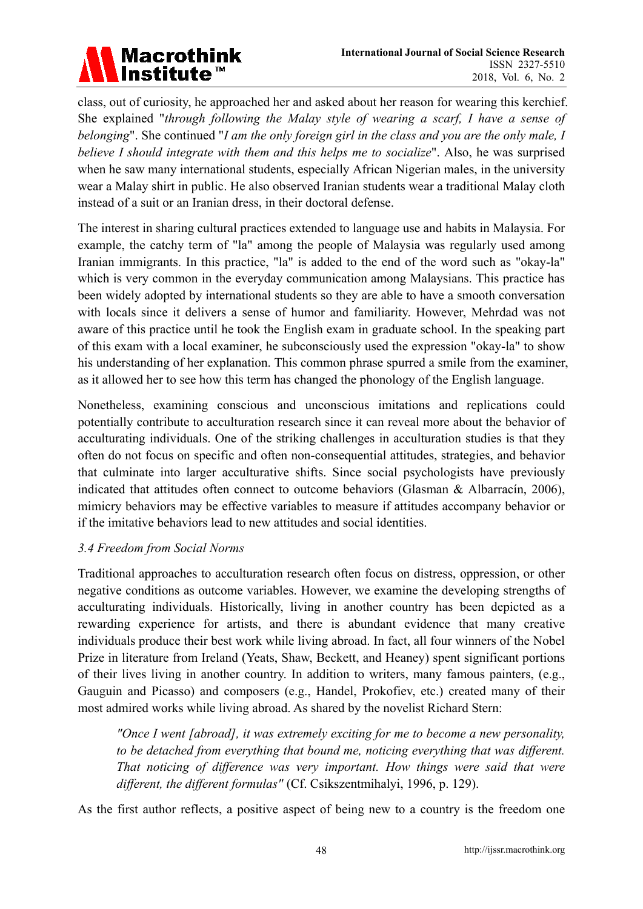

class, out of curiosity, he approached her and asked about her reason for wearing this kerchief. She explained "*through following the Malay style of wearing a scarf, I have a sense of belonging*". She continued "*I am the only foreign girl in the class and you are the only male, I believe I should integrate with them and this helps me to socialize*". Also, he was surprised when he saw many international students, especially African Nigerian males, in the university wear a Malay shirt in public. He also observed Iranian students wear a traditional Malay cloth instead of a suit or an Iranian dress, in their doctoral defense.

The interest in sharing cultural practices extended to language use and habits in Malaysia. For example, the catchy term of "la" among the people of Malaysia was regularly used among Iranian immigrants. In this practice, "la" is added to the end of the word such as "okay-la" which is very common in the everyday communication among Malaysians. This practice has been widely adopted by international students so they are able to have a smooth conversation with locals since it delivers a sense of humor and familiarity. However, Mehrdad was not aware of this practice until he took the English exam in graduate school. In the speaking part of this exam with a local examiner, he subconsciously used the expression "okay-la" to show his understanding of her explanation. This common phrase spurred a smile from the examiner, as it allowed her to see how this term has changed the phonology of the English language.

Nonetheless, examining conscious and unconscious imitations and replications could potentially contribute to acculturation research since it can reveal more about the behavior of acculturating individuals. One of the striking challenges in acculturation studies is that they often do not focus on specific and often non-consequential attitudes, strategies, and behavior that culminate into larger acculturative shifts. Since social psychologists have previously indicated that attitudes often connect to outcome behaviors (Glasman & Albarracín, 2006), mimicry behaviors may be effective variables to measure if attitudes accompany behavior or if the imitative behaviors lead to new attitudes and social identities.

## *3.4 Freedom from Social Norms*

Traditional approaches to acculturation research often focus on distress, oppression, or other negative conditions as outcome variables. However, we examine the developing strengths of acculturating individuals. Historically, living in another country has been depicted as a rewarding experience for artists, and there is abundant evidence that many creative individuals produce their best work while living abroad. In fact, all four winners of the Nobel Prize in literature from Ireland (Yeats, Shaw, Beckett, and Heaney) spent significant portions of their lives living in another country. In addition to writers, many famous painters, (e.g., Gauguin and Picasso) and composers (e.g., Handel, Prokofiev, etc.) created many of their most admired works while living abroad. As shared by the novelist Richard Stern:

*"Once I went [abroad], it was extremely exciting for me to become a new personality, to be detached from everything that bound me, noticing everything that was different. That noticing of difference was very important. How things were said that were different, the different formulas"* (Cf. Csikszentmihalyi, 1996, p. 129).

As the first author reflects, a positive aspect of being new to a country is the freedom one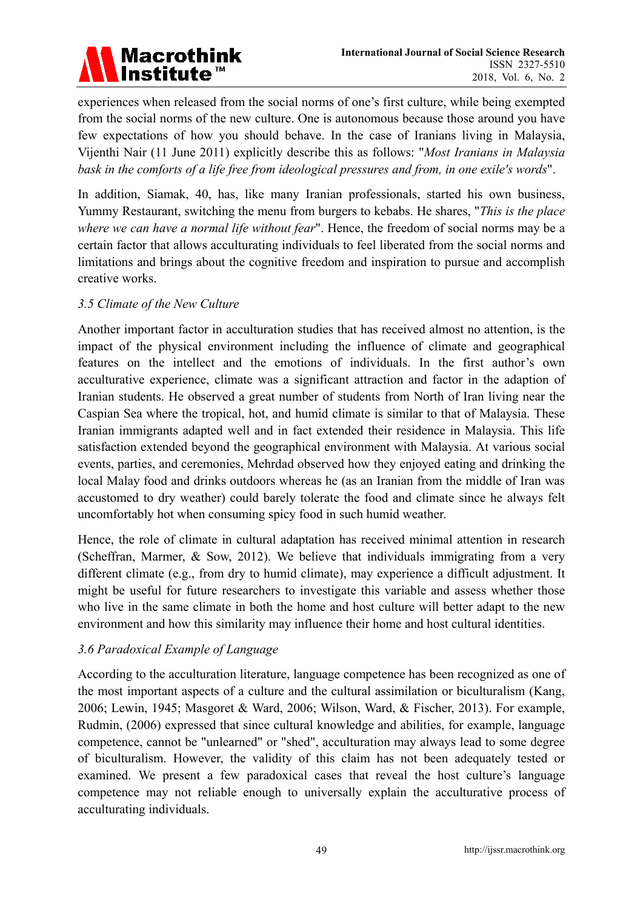

experiences when released from the social norms of one's first culture, while being exempted from the social norms of the new culture. One is autonomous because those around you have few expectations of how you should behave. In the case of Iranians living in Malaysia, Vijenthi Nair (11 June 2011) explicitly describe this as follows: "*Most Iranians in Malaysia bask in the comforts of a life free from ideological pressures and from, in one exile's words*".

In addition, Siamak, 40, has, like many Iranian professionals, started his own business, Yummy Restaurant, switching the menu from burgers to kebabs. He shares, "*This is the place where we can have a normal life without fear*". Hence, the freedom of social norms may be a certain factor that allows acculturating individuals to feel liberated from the social norms and limitations and brings about the cognitive freedom and inspiration to pursue and accomplish creative works.

#### *3.5 Climate of the New Culture*

Another important factor in acculturation studies that has received almost no attention, is the impact of the physical environment including the influence of climate and geographical features on the intellect and the emotions of individuals. In the first author's own acculturative experience, climate was a significant attraction and factor in the adaption of Iranian students. He observed a great number of students from North of Iran living near the Caspian Sea where the tropical, hot, and humid climate is similar to that of Malaysia. These Iranian immigrants adapted well and in fact extended their residence in Malaysia. This life satisfaction extended beyond the geographical environment with Malaysia. At various social events, parties, and ceremonies, Mehrdad observed how they enjoyed eating and drinking the local Malay food and drinks outdoors whereas he (as an Iranian from the middle of Iran was accustomed to dry weather) could barely tolerate the food and climate since he always felt uncomfortably hot when consuming spicy food in such humid weather.

Hence, the role of climate in cultural adaptation has received minimal attention in research (Scheffran, Marmer, & Sow, 2012). We believe that individuals immigrating from a very different climate (e.g., from dry to humid climate), may experience a difficult adjustment. It might be useful for future researchers to investigate this variable and assess whether those who live in the same climate in both the home and host culture will better adapt to the new environment and how this similarity may influence their home and host cultural identities.

## *3.6 Paradoxical Example of Language*

According to the acculturation literature, language competence has been recognized as one of the most important aspects of a culture and the cultural assimilation or biculturalism (Kang, 2006; Lewin, 1945; Masgoret & Ward, 2006; Wilson, Ward, & Fischer, 2013). For example, Rudmin, (2006) expressed that since cultural knowledge and abilities, for example, language competence, cannot be "unlearned" or "shed", acculturation may always lead to some degree of biculturalism. However, the validity of this claim has not been adequately tested or examined. We present a few paradoxical cases that reveal the host culture's language competence may not reliable enough to universally explain the acculturative process of acculturating individuals.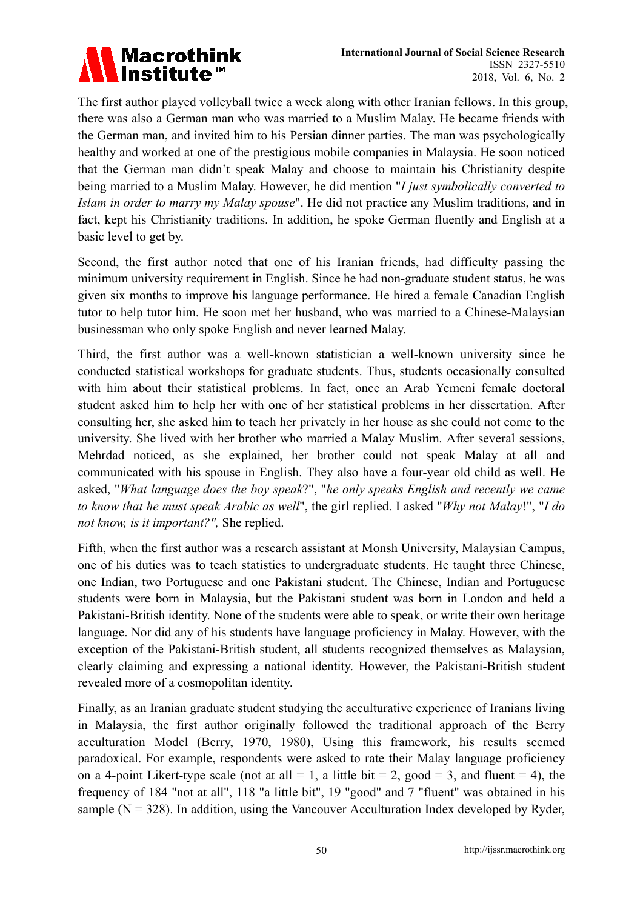

The first author played volleyball twice a week along with other Iranian fellows. In this group, there was also a German man who was married to a Muslim Malay. He became friends with the German man, and invited him to his Persian dinner parties. The man was psychologically healthy and worked at one of the prestigious mobile companies in Malaysia. He soon noticed that the German man didn't speak Malay and choose to maintain his Christianity despite being married to a Muslim Malay. However, he did mention "*I just symbolically converted to Islam in order to marry my Malay spouse*". He did not practice any Muslim traditions, and in fact, kept his Christianity traditions. In addition, he spoke German fluently and English at a basic level to get by.

Second, the first author noted that one of his Iranian friends, had difficulty passing the minimum university requirement in English. Since he had non-graduate student status, he was given six months to improve his language performance. He hired a female Canadian English tutor to help tutor him. He soon met her husband, who was married to a Chinese-Malaysian businessman who only spoke English and never learned Malay.

Third, the first author was a well-known statistician a well-known university since he conducted statistical workshops for graduate students. Thus, students occasionally consulted with him about their statistical problems. In fact, once an Arab Yemeni female doctoral student asked him to help her with one of her statistical problems in her dissertation. After consulting her, she asked him to teach her privately in her house as she could not come to the university. She lived with her brother who married a Malay Muslim. After several sessions, Mehrdad noticed, as she explained, her brother could not speak Malay at all and communicated with his spouse in English. They also have a four-year old child as well. He asked, "*What language does the boy speak*?", "*he only speaks English and recently we came to know that he must speak Arabic as well*", the girl replied. I asked "*Why not Malay*!", "*I do not know, is it important?",* She replied.

Fifth, when the first author was a research assistant at Monsh University, Malaysian Campus, one of his duties was to teach statistics to undergraduate students. He taught three Chinese, one Indian, two Portuguese and one Pakistani student. The Chinese, Indian and Portuguese students were born in Malaysia, but the Pakistani student was born in London and held a Pakistani-British identity. None of the students were able to speak, or write their own heritage language. Nor did any of his students have language proficiency in Malay. However, with the exception of the Pakistani-British student, all students recognized themselves as Malaysian, clearly claiming and expressing a national identity. However, the Pakistani-British student revealed more of a cosmopolitan identity.

Finally, as an Iranian graduate student studying the acculturative experience of Iranians living in Malaysia, the first author originally followed the traditional approach of the Berry acculturation Model (Berry, 1970, 1980), Using this framework, his results seemed paradoxical. For example, respondents were asked to rate their Malay language proficiency on a 4-point Likert-type scale (not at all  $= 1$ , a little bit  $= 2$ , good  $= 3$ , and fluent  $= 4$ ), the frequency of 184 "not at all", 118 "a little bit", 19 "good" and 7 "fluent" was obtained in his sample ( $N = 328$ ). In addition, using the Vancouver Acculturation Index developed by Ryder,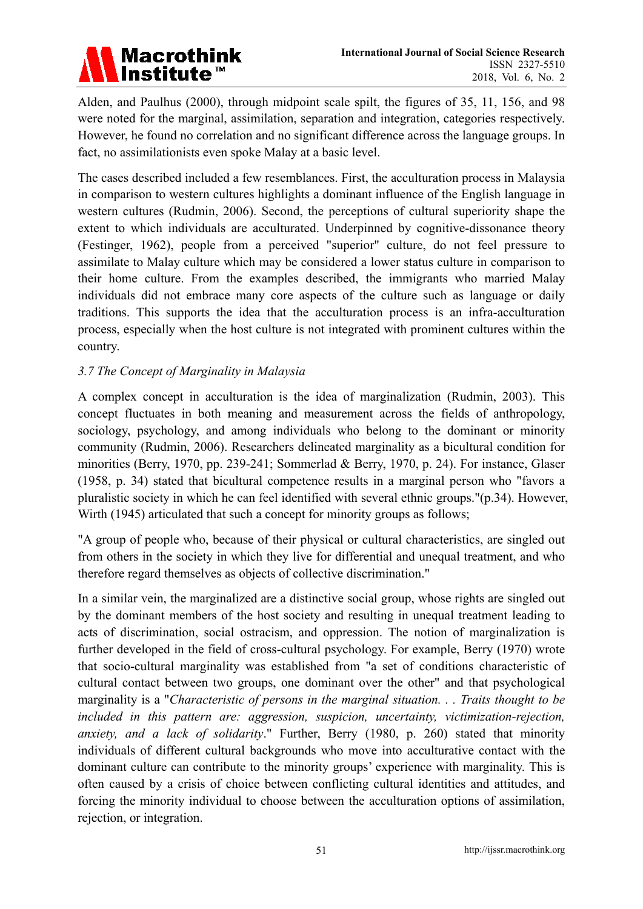

Alden, and Paulhus (2000), through midpoint scale spilt, the figures of 35, 11, 156, and 98 were noted for the marginal, assimilation, separation and integration, categories respectively. However, he found no correlation and no significant difference across the language groups. In fact, no assimilationists even spoke Malay at a basic level.

The cases described included a few resemblances. First, the acculturation process in Malaysia in comparison to western cultures highlights a dominant influence of the English language in western cultures (Rudmin, 2006). Second, the perceptions of cultural superiority shape the extent to which individuals are acculturated. Underpinned by cognitive-dissonance theory (Festinger, 1962), people from a perceived "superior" culture, do not feel pressure to assimilate to Malay culture which may be considered a lower status culture in comparison to their home culture. From the examples described, the immigrants who married Malay individuals did not embrace many core aspects of the culture such as language or daily traditions. This supports the idea that the acculturation process is an infra-acculturation process, especially when the host culture is not integrated with prominent cultures within the country.

## *3.7 The Concept of Marginality in Malaysia*

A complex concept in acculturation is the idea of marginalization (Rudmin, 2003). This concept fluctuates in both meaning and measurement across the fields of anthropology, sociology, psychology, and among individuals who belong to the dominant or minority community (Rudmin, 2006). Researchers delineated marginality as a bicultural condition for minorities (Berry, 1970, pp. 239-241; Sommerlad & Berry, 1970, p. 24). For instance, Glaser (1958, p. 34) stated that bicultural competence results in a marginal person who "favors a pluralistic society in which he can feel identified with several ethnic groups."(p.34). However, Wirth (1945) articulated that such a concept for minority groups as follows;

"A group of people who, because of their physical or cultural characteristics, are singled out from others in the society in which they live for differential and unequal treatment, and who therefore regard themselves as objects of collective discrimination."

In a similar vein, the marginalized are a distinctive social group, whose rights are singled out by the dominant members of the host society and resulting in unequal treatment leading to acts of discrimination, social ostracism, and oppression. The notion of marginalization is further developed in the field of cross-cultural psychology. For example, Berry (1970) wrote that socio-cultural marginality was established from "a set of conditions characteristic of cultural contact between two groups, one dominant over the other" and that psychological marginality is a "*Characteristic of persons in the marginal situation. . . Traits thought to be included in this pattern are: aggression, suspicion, uncertainty, victimization-rejection, anxiety, and a lack of solidarity*." Further, Berry (1980, p. 260) stated that minority individuals of different cultural backgrounds who move into acculturative contact with the dominant culture can contribute to the minority groups' experience with marginality. This is often caused by a crisis of choice between conflicting cultural identities and attitudes, and forcing the minority individual to choose between the acculturation options of assimilation, rejection, or integration.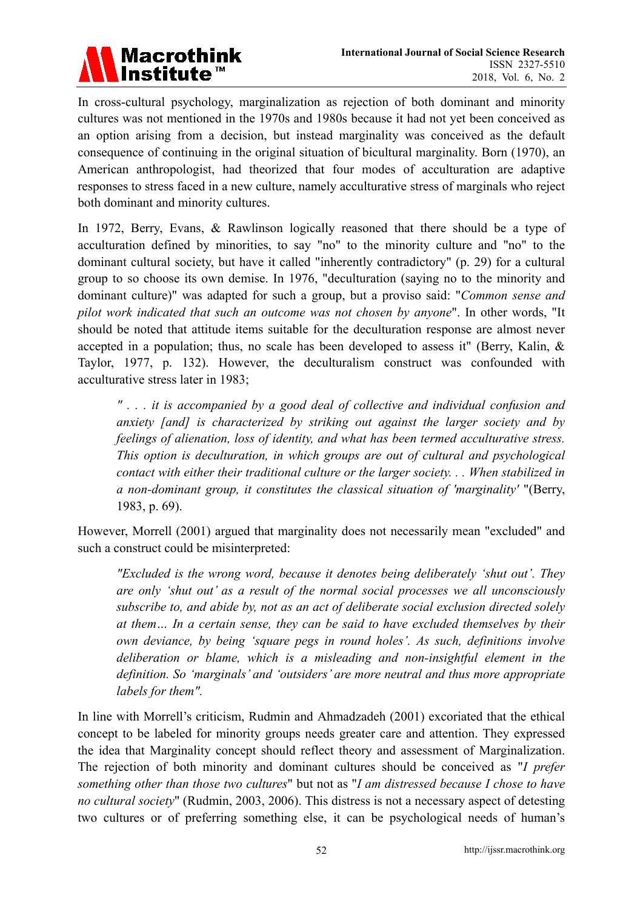

In cross-cultural psychology, marginalization as rejection of both dominant and minority cultures was not mentioned in the 1970s and 1980s because it had not yet been conceived as an option arising from a decision, but instead marginality was conceived as the default consequence of continuing in the original situation of bicultural marginality. Born (1970), an American anthropologist, had theorized that four modes of acculturation are adaptive responses to stress faced in a new culture, namely acculturative stress of marginals who reject both dominant and minority cultures.

In 1972, Berry, Evans, & Rawlinson logically reasoned that there should be a type of acculturation defined by minorities, to say "no" to the minority culture and "no" to the dominant cultural society, but have it called "inherently contradictory" (p. 29) for a cultural group to so choose its own demise. In 1976, "deculturation (saying no to the minority and dominant culture)" was adapted for such a group, but a proviso said: "*Common sense and pilot work indicated that such an outcome was not chosen by anyone*". In other words, "It should be noted that attitude items suitable for the deculturation response are almost never accepted in a population; thus, no scale has been developed to assess it" (Berry, Kalin, & Taylor, 1977, p. 132). However, the deculturalism construct was confounded with acculturative stress later in 1983;

*" . . . it is accompanied by a good deal of collective and individual confusion and anxiety [and] is characterized by striking out against the larger society and by feelings of alienation, loss of identity, and what has been termed acculturative stress. This option is deculturation, in which groups are out of cultural and psychological contact with either their traditional culture or the larger society. . . When stabilized in a non-dominant group, it constitutes the classical situation of 'marginality'* "(Berry, 1983, p. 69).

However, Morrell (2001) argued that marginality does not necessarily mean "excluded" and such a construct could be misinterpreted:

*"Excluded is the wrong word, because it denotes being deliberately 'shut out'. They are only 'shut out' as a result of the normal social processes we all unconsciously subscribe to, and abide by, not as an act of deliberate social exclusion directed solely at them… In a certain sense, they can be said to have excluded themselves by their own deviance, by being 'square pegs in round holes'. As such, definitions involve deliberation or blame, which is a misleading and non-insightful element in the definition. So 'marginals' and 'outsiders' are more neutral and thus more appropriate labels for them".* 

In line with Morrell's criticism, Rudmin and Ahmadzadeh (2001) excoriated that the ethical concept to be labeled for minority groups needs greater care and attention. They expressed the idea that Marginality concept should reflect theory and assessment of Marginalization. The rejection of both minority and dominant cultures should be conceived as "*I prefer something other than those two cultures*" but not as "*I am distressed because I chose to have no cultural society*" (Rudmin, 2003, 2006). This distress is not a necessary aspect of detesting two cultures or of preferring something else, it can be psychological needs of human's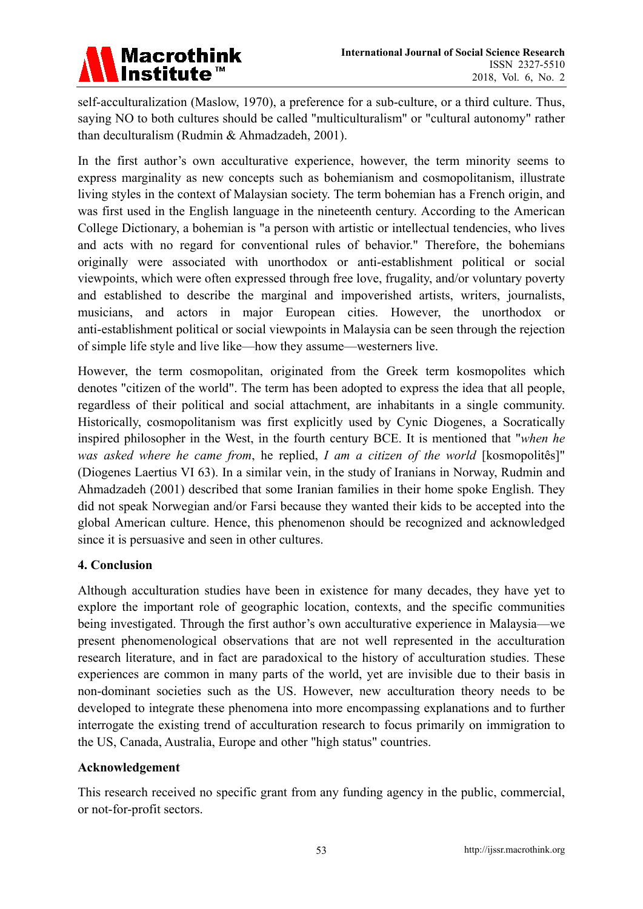

self-acculturalization (Maslow, 1970), a preference for a sub-culture, or a third culture. Thus, saying NO to both cultures should be called "multiculturalism" or "cultural autonomy" rather than deculturalism (Rudmin & Ahmadzadeh, 2001).

In the first author's own acculturative experience, however, the term minority seems to express marginality as new concepts such as bohemianism and cosmopolitanism, illustrate living styles in the context of Malaysian society. The term bohemian has a French origin, and was first used in the English language in the nineteenth century. According to the American College Dictionary, a bohemian is "a person with artistic or intellectual tendencies, who lives and acts with no regard for conventional rules of behavior." Therefore, the bohemians originally were associated with unorthodox or anti-establishment political or social viewpoints, which were often expressed through free love, frugality, and/or voluntary poverty and established to describe the marginal and impoverished artists, writers, journalists, musicians, and actors in major European cities. However, the unorthodox or anti-establishment political or social viewpoints in Malaysia can be seen through the rejection of simple life style and live like—how they assume—westerners live.

However, the term cosmopolitan, originated from the Greek term kosmopolites which denotes "citizen of the world". The term has been adopted to express the idea that all people, regardless of their political and social attachment, are inhabitants in a single community. Historically, cosmopolitanism was first explicitly used by Cynic Diogenes, a Socratically inspired philosopher in the West, in the fourth century BCE. It is mentioned that "*when he was asked where he came from*, he replied, *I am a citizen of the world* [kosmopolitês]" (Diogenes Laertius VI 63). In a similar vein, in the study of Iranians in Norway, Rudmin and Ahmadzadeh (2001) described that some Iranian families in their home spoke English. They did not speak Norwegian and/or Farsi because they wanted their kids to be accepted into the global American culture. Hence, this phenomenon should be recognized and acknowledged since it is persuasive and seen in other cultures.

## **4. Conclusion**

Although acculturation studies have been in existence for many decades, they have yet to explore the important role of geographic location, contexts, and the specific communities being investigated. Through the first author's own acculturative experience in Malaysia—we present phenomenological observations that are not well represented in the acculturation research literature, and in fact are paradoxical to the history of acculturation studies. These experiences are common in many parts of the world, yet are invisible due to their basis in non-dominant societies such as the US. However, new acculturation theory needs to be developed to integrate these phenomena into more encompassing explanations and to further interrogate the existing trend of acculturation research to focus primarily on immigration to the US, Canada, Australia, Europe and other "high status" countries.

## **Acknowledgement**

This research received no specific grant from any funding agency in the public, commercial, or not-for-profit sectors.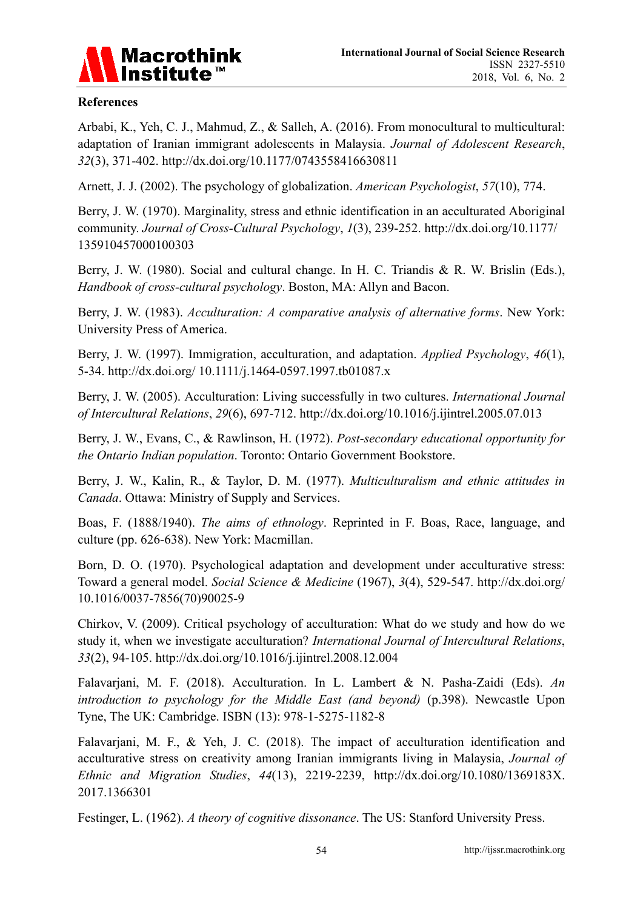

#### **References**

Arbabi, K., Yeh, C. J., Mahmud, Z., & Salleh, A. (2016). From monocultural to multicultural: adaptation of Iranian immigrant adolescents in Malaysia. *Journal of Adolescent Research*, *32*(3), 371-402. http://dx.doi.org/10.1177/0743558416630811

Arnett, J. J. (2002). The psychology of globalization. *American Psychologist*, *57*(10), 774.

Berry, J. W. (1970). Marginality, stress and ethnic identification in an acculturated Aboriginal community. *Journal of Cross-Cultural Psychology*, *1*(3), 239-252. http://dx.doi.org/10.1177/ 135910457000100303

Berry, J. W. (1980). Social and cultural change. In H. C. Triandis & R. W. Brislin (Eds.), *Handbook of cross-cultural psychology*. Boston, MA: Allyn and Bacon.

Berry, J. W. (1983). *Acculturation: A comparative analysis of alternative forms*. New York: University Press of America.

Berry, J. W. (1997). Immigration, acculturation, and adaptation. *Applied Psychology*, *46*(1), 5-34. http://dx.doi.org/ 10.1111/j.1464-0597.1997.tb01087.x

Berry, J. W. (2005). Acculturation: Living successfully in two cultures. *International Journal of Intercultural Relations*, *29*(6), 697-712. http://dx.doi.org/10.1016/j.ijintrel.2005.07.013

Berry, J. W., Evans, C., & Rawlinson, H. (1972). *Post-secondary educational opportunity for the Ontario Indian population*. Toronto: Ontario Government Bookstore.

Berry, J. W., Kalin, R., & Taylor, D. M. (1977). *Multiculturalism and ethnic attitudes in Canada*. Ottawa: Ministry of Supply and Services.

Boas, F. (1888/1940). *The aims of ethnology*. Reprinted in F. Boas, Race, language, and culture (pp. 626-638). New York: Macmillan.

Born, D. O. (1970). Psychological adaptation and development under acculturative stress: Toward a general model. *Social Science & Medicine* (1967), *3*(4), 529-547. http://dx.doi.org/ 10.1016/0037-7856(70)90025-9

Chirkov, V. (2009). Critical psychology of acculturation: What do we study and how do we study it, when we investigate acculturation? *International Journal of Intercultural Relations*, *33*(2), 94-105. http://dx.doi.org/10.1016/j.ijintrel.2008.12.004

Falavarjani, M. F. (2018). Acculturation. In L. Lambert & N. Pasha-Zaidi (Eds). *An introduction to psychology for the Middle East (and beyond)* (p.398). Newcastle Upon Tyne, The UK: Cambridge. ISBN (13): 978-1-5275-1182-8

Falavarjani, M. F., & Yeh, J. C. (2018). The impact of acculturation identification and acculturative stress on creativity among Iranian immigrants living in Malaysia, *Journal of Ethnic and Migration Studies*, *44*(13), 2219-2239, http://dx.doi.org/10.1080/1369183X. 2017.1366301

Festinger, L. (1962). *A theory of cognitive dissonance*. The US: Stanford University Press.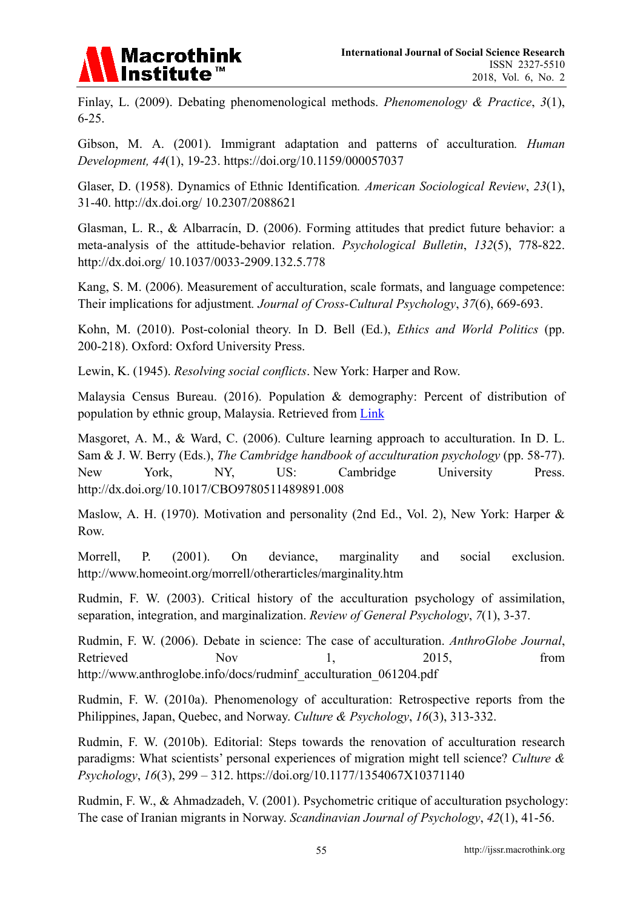

Finlay, L. (2009). Debating phenomenological methods. *Phenomenology & Practice*, *3*(1), 6-25.

Gibson, M. A. (2001). Immigrant adaptation and patterns of acculturation*. Human Development, 44*(1), 19-23. https://doi.org/10.1159/000057037

Glaser, D. (1958). Dynamics of Ethnic Identification*. American Sociological Review*, *23*(1), 31-40. http://dx.doi.org/ 10.2307/2088621

Glasman, L. R., & Albarracín, D. (2006). Forming attitudes that predict future behavior: a meta-analysis of the attitude-behavior relation. *Psychological Bulletin*, *132*(5), 778-822. http://dx.doi.org/ 10.1037/0033-2909.132.5.778

Kang, S. M. (2006). Measurement of acculturation, scale formats, and language competence: Their implications for adjustment*. Journal of Cross-Cultural Psychology*, *37*(6), 669-693.

Kohn, M. (2010). Post-colonial theory. In D. Bell (Ed.), *Ethics and World Politics* (pp. 200-218). Oxford: Oxford University Press.

Lewin, K. (1945). *Resolving social conflicts*. New York: Harper and Row.

Malaysia Census Bureau. (2016). Population & demography: Percent of distribution of population by ethnic group, Malaysia. Retrieved from Link

Masgoret, A. M., & Ward, C. (2006). Culture learning approach to acculturation. In D. L. Sam & J. W. Berry (Eds.), *The Cambridge handbook of acculturation psychology* (pp. 58-77). New York, NY, US: Cambridge University Press. http://dx.doi.org/10.1017/CBO9780511489891.008

Maslow, A. H. (1970). Motivation and personality (2nd Ed., Vol. 2), New York: Harper & Row.

Morrell, P. (2001). On deviance, marginality and social exclusion. http://www.homeoint.org/morrell/otherarticles/marginality.htm

Rudmin, F. W. (2003). Critical history of the acculturation psychology of assimilation, separation, integration, and marginalization. *Review of General Psychology*, *7*(1), 3-37.

Rudmin, F. W. (2006). Debate in science: The case of acculturation. *AnthroGlobe Journal*, Retrieved Nov 1, 2015, from http://www.anthroglobe.info/docs/rudminf\_acculturation\_061204.pdf

Rudmin, F. W. (2010a). Phenomenology of acculturation: Retrospective reports from the Philippines, Japan, Quebec, and Norway. *Culture & Psychology*, *16*(3), 313-332.

Rudmin, F. W. (2010b). Editorial: Steps towards the renovation of acculturation research paradigms: What scientists' personal experiences of migration might tell science? *Culture & Psychology*, *16*(3), 299 – 312. https://doi.org/10.1177/1354067X10371140

Rudmin, F. W., & Ahmadzadeh, V. (2001). Psychometric critique of acculturation psychology: The case of Iranian migrants in Norway. *Scandinavian Journal of Psychology*, *42*(1), 41-56.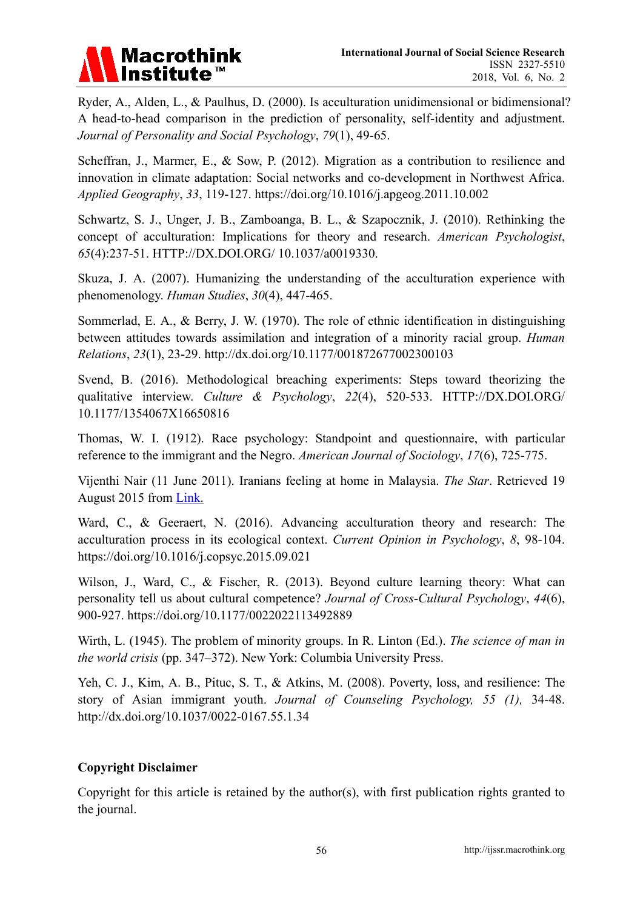

Ryder, A., Alden, L., & Paulhus, D. (2000). Is acculturation unidimensional or bidimensional? A head-to-head comparison in the prediction of personality, self-identity and adjustment. *Journal of Personality and Social Psychology*, *79*(1), 49-65.

Scheffran, J., Marmer, E., & Sow, P. (2012). Migration as a contribution to resilience and innovation in climate adaptation: Social networks and co-development in Northwest Africa. *Applied Geography*, *33*, 119-127. https://doi.org/10.1016/j.apgeog.2011.10.002

Schwartz, S. J., Unger, J. B., Zamboanga, B. L., & Szapocznik, J. (2010). Rethinking the concept of acculturation: Implications for theory and research. *American Psychologist*, *65*(4):237-51. HTTP://DX.DOI.ORG/ 10.1037/a0019330.

Skuza, J. A. (2007). Humanizing the understanding of the acculturation experience with phenomenology. *Human Studies*, *30*(4), 447-465.

Sommerlad, E. A., & Berry, J. W. (1970). The role of ethnic identification in distinguishing between attitudes towards assimilation and integration of a minority racial group. *Human Relations*, *23*(1), 23-29. http://dx.doi.org/10.1177/001872677002300103

Svend, B. (2016). Methodological breaching experiments: Steps toward theorizing the qualitative interview. *Culture & Psychology*, *22*(4), 520-533. HTTP://DX.DOI.ORG/ 10.1177/1354067X16650816

Thomas, W. I. (1912). Race psychology: Standpoint and questionnaire, with particular reference to the immigrant and the Negro. *American Journal of Sociology*, *17*(6), 725-775.

Vijenthi Nair (11 June 2011). Iranians feeling at home in Malaysia. *The Star*. Retrieved 19 August 2015 from Link.

Ward, C., & Geeraert, N. (2016). Advancing acculturation theory and research: The acculturation process in its ecological context. *Current Opinion in Psychology*, *8*, 98-104. https://doi.org/10.1016/j.copsyc.2015.09.021

Wilson, J., Ward, C., & Fischer, R. (2013). Beyond culture learning theory: What can personality tell us about cultural competence? *Journal of Cross-Cultural Psychology*, *44*(6), 900-927. https://doi.org/10.1177/0022022113492889

Wirth, L. (1945). The problem of minority groups. In R. Linton (Ed.). *The science of man in the world crisis* (pp. 347–372). New York: Columbia University Press.

Yeh, C. J., Kim, A. B., Pituc, S. T., & Atkins, M. (2008). Poverty, loss, and resilience: The story of Asian immigrant youth. *Journal of Counseling Psychology, 55 (1),* 34-48. http://dx.doi.org/10.1037/0022-0167.55.1.34

## **Copyright Disclaimer**

Copyright for this article is retained by the author(s), with first publication rights granted to the journal.